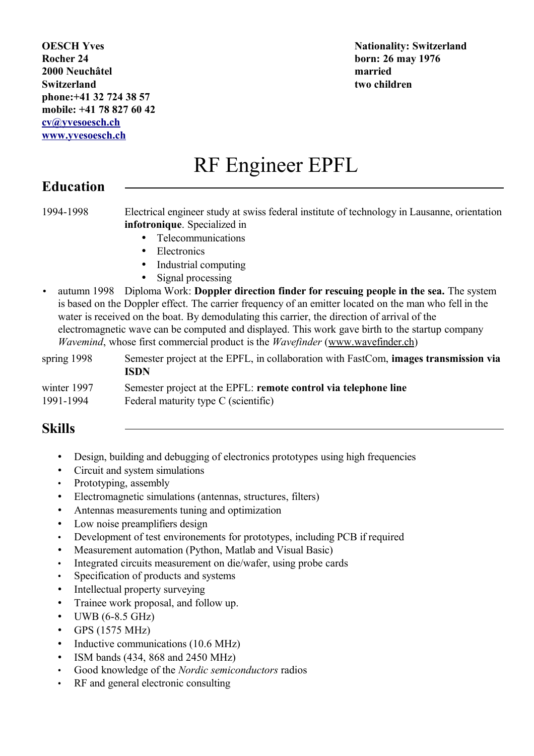**OESCH Yves Nationality: Switzerland Rocher 24 born: 26 may 1976 2000 Neuchâtel married Switzerland two children phone:+41 32 724 38 57 mobile: +41 78 827 60 42 cv@yvesoesch.ch www.yvesoesch.ch**

# RF Engineer EPFL

#### **Education**

1994-1998 Electrical engineer study at swiss federal institute of technology in Lausanne, orientation **infotronique**. Specialized in

- Telecommunications
- Electronics
- Industrial computing
- Signal processing
- autumn 1998 Diploma Work: **Doppler direction finder for rescuing people in the sea.** The system is based on the Doppler effect. The carrier frequency of an emitter located on the man who fell in the water is received on the boat. By demodulating this carrier, the direction of arrival of the electromagnetic wave can be computed and displayed. This work gave birth to the startup company *Wavemind*, whose first commercial product is the *Wavefinder* (www.wavefinder.ch)

| spring 1998 | Semester project at the EPFL, in collaboration with FastCom, <b>images transmission via</b><br>ISDN |
|-------------|-----------------------------------------------------------------------------------------------------|
| winter 1997 | Semester project at the EPFL: remote control via telephone line                                     |
| 1991-1994   | Federal maturity type C (scientific)                                                                |

#### **Skills**

- Design, building and debugging of electronics prototypes using high frequencies
- Circuit and system simulations
- Prototyping, assembly
- Electromagnetic simulations (antennas, structures, filters)
- Antennas measurements tuning and optimization
- Low noise preamplifiers design
- Development of test environements for prototypes, including PCB if required
- Measurement automation (Python, Matlab and Visual Basic)
- Integrated circuits measurement on die/wafer, using probe cards
- Specification of products and systems
- Intellectual property surveying
- Trainee work proposal, and follow up.
- UWB  $(6-8.5 \text{ GHz})$
- GPS (1575 MHz)
- Inductive communications (10.6 MHz)
- ISM bands (434, 868 and 2450 MHz)
- Good knowledge of the *Nordic semiconductors* radios
- RF and general electronic consulting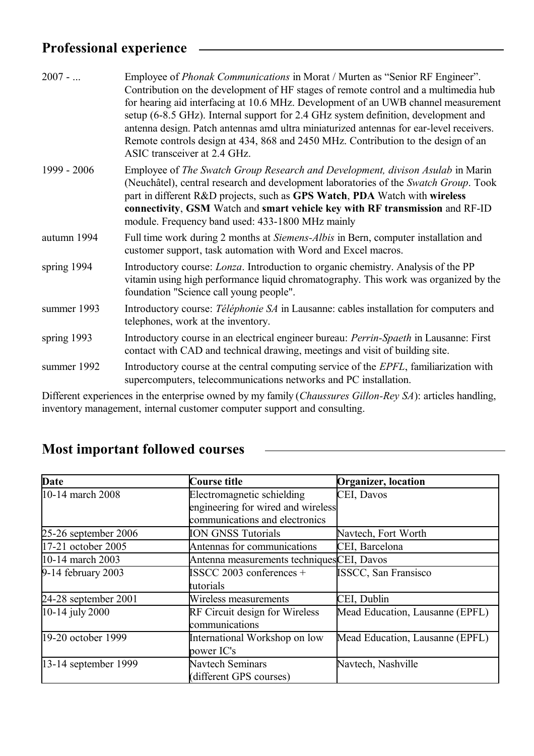### **Professional experience**

| $2007 - $   | Employee of <i>Phonak Communications</i> in Morat / Murten as "Senior RF Engineer".<br>Contribution on the development of HF stages of remote control and a multimedia hub<br>for hearing aid interfacing at 10.6 MHz. Development of an UWB channel measurement<br>setup (6-8.5 GHz). Internal support for 2.4 GHz system definition, development and<br>antenna design. Patch antennas amd ultra miniaturized antennas for ear-level receivers.<br>Remote controls design at 434, 868 and 2450 MHz. Contribution to the design of an<br>ASIC transceiver at 2.4 GHz. |
|-------------|------------------------------------------------------------------------------------------------------------------------------------------------------------------------------------------------------------------------------------------------------------------------------------------------------------------------------------------------------------------------------------------------------------------------------------------------------------------------------------------------------------------------------------------------------------------------|
| 1999 - 2006 | Employee of The Swatch Group Research and Development, divison Asulab in Marin<br>(Neuchâtel), central research and development laboratories of the Swatch Group. Took<br>part in different R&D projects, such as GPS Watch, PDA Watch with wireless<br>connectivity, GSM Watch and smart vehicle key with RF transmission and RF-ID<br>module. Frequency band used: 433-1800 MHz mainly                                                                                                                                                                               |
| autumn 1994 | Full time work during 2 months at Siemens-Albis in Bern, computer installation and<br>customer support, task automation with Word and Excel macros.                                                                                                                                                                                                                                                                                                                                                                                                                    |
| spring 1994 | Introductory course: <i>Lonza</i> . Introduction to organic chemistry. Analysis of the PP<br>vitamin using high performance liquid chromatography. This work was organized by the<br>foundation "Science call young people".                                                                                                                                                                                                                                                                                                                                           |
| summer 1993 | Introductory course: Téléphonie SA in Lausanne: cables installation for computers and<br>telephones, work at the inventory.                                                                                                                                                                                                                                                                                                                                                                                                                                            |
| spring 1993 | Introductory course in an electrical engineer bureau: <i>Perrin-Spaeth</i> in Lausanne: First<br>contact with CAD and technical drawing, meetings and visit of building site.                                                                                                                                                                                                                                                                                                                                                                                          |
| summer 1992 | Introductory course at the central computing service of the EPFL, familiarization with<br>supercomputers, telecommunications networks and PC installation.                                                                                                                                                                                                                                                                                                                                                                                                             |
|             |                                                                                                                                                                                                                                                                                                                                                                                                                                                                                                                                                                        |

Different experiences in the enterprise owned by my family (*Chaussures Gillon-Rey SA*): articles handling, inventory management, internal customer computer support and consulting.

<u> 1980 - Johann Barn, fransk politik amerikansk politik (</u>

| Date                    | Course title                              | <b>Organizer</b> , location     |
|-------------------------|-------------------------------------------|---------------------------------|
| $10-14$ march 2008      | Electromagnetic schielding                | CEI, Davos                      |
|                         | engineering for wired and wireless        |                                 |
|                         | communications and electronics            |                                 |
| $25-26$ september 2006  | <b>ION GNSS Tutorials</b>                 | Navtech, Fort Worth             |
| 17-21 october 2005      | Antennas for communications               | CEI, Barcelona                  |
| 10-14 march 2003        | Antenna measurements techniquesCEI, Davos |                                 |
| $9-14$ february 2003    | $\text{ISSCC } 2003$ conferences +        | <b>ISSCC, San Fransisco</b>     |
|                         | tutorials                                 |                                 |
| 24-28 september 2001    | Wireless measurements                     | CEI, Dublin                     |
| $ 10-14 $ july 2000     | <b>RF Circuit design for Wireless</b>     | Mead Education, Lausanne (EPFL) |
|                         | communications                            |                                 |
| 19-20 october 1999      | International Workshop on low             | Mead Education, Lausanne (EPFL) |
|                         | power IC's                                |                                 |
| $ 13-14$ september 1999 | Navtech Seminars                          | Navtech, Nashville              |
|                         | (different GPS courses)                   |                                 |

### **Most important followed courses**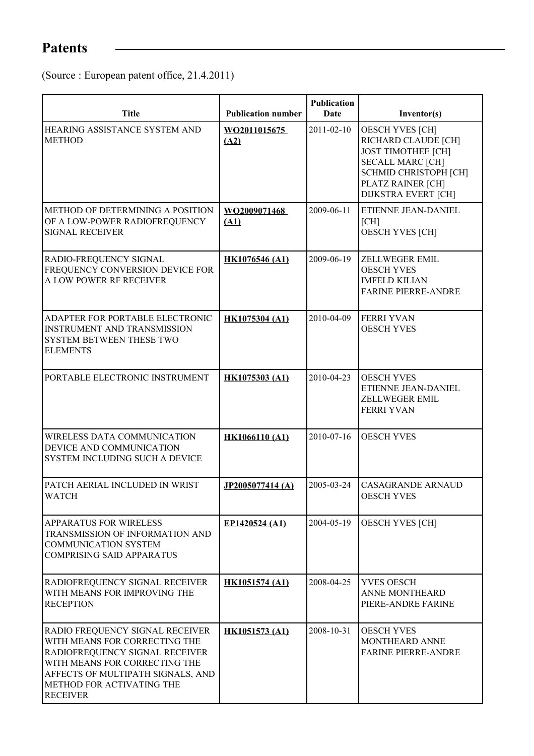# **Patents**

(Source : European patent office, 21.4.2011)

| <b>Title</b>                                                                                                                                                                                                             | <b>Publication number</b> | <b>Publication</b><br>Date | Inventor(s)                                                                                                                                                                              |
|--------------------------------------------------------------------------------------------------------------------------------------------------------------------------------------------------------------------------|---------------------------|----------------------------|------------------------------------------------------------------------------------------------------------------------------------------------------------------------------------------|
| HEARING ASSISTANCE SYSTEM AND<br><b>METHOD</b>                                                                                                                                                                           | WO2011015675<br>(A2)      | $2011 - 02 - 10$           | <b>OESCH YVES [CH]</b><br>RICHARD CLAUDE [CH]<br><b>JOST TIMOTHEE [CH]</b><br><b>SECALL MARC [CH]</b><br><b>SCHMID CHRISTOPH [CH]</b><br>PLATZ RAINER [CH]<br><b>DIJKSTRA EVERT [CH]</b> |
| METHOD OF DETERMINING A POSITION<br>OF A LOW-POWER RADIOFREQUENCY<br><b>SIGNAL RECEIVER</b>                                                                                                                              | WO2009071468<br>(A1)      | 2009-06-11                 | ETIENNE JEAN-DANIEL<br>[CH]<br><b>OESCH YVES [CH]</b>                                                                                                                                    |
| RADIO-FREQUENCY SIGNAL<br>FREQUENCY CONVERSION DEVICE FOR<br>A LOW POWER RF RECEIVER                                                                                                                                     | <b>HK1076546 (A1)</b>     | 2009-06-19                 | ZELLWEGER EMIL<br><b>OESCH YVES</b><br><b>IMFELD KILIAN</b><br><b>FARINE PIERRE-ANDRE</b>                                                                                                |
| ADAPTER FOR PORTABLE ELECTRONIC<br><b>INSTRUMENT AND TRANSMISSION</b><br>SYSTEM BETWEEN THESE TWO<br><b>ELEMENTS</b>                                                                                                     | <b>HK1075304 (A1)</b>     | 2010-04-09                 | <b>FERRI YVAN</b><br><b>OESCH YVES</b>                                                                                                                                                   |
| PORTABLE ELECTRONIC INSTRUMENT                                                                                                                                                                                           | <b>HK1075303 (A1)</b>     | 2010-04-23                 | <b>OESCH YVES</b><br>ETIENNE JEAN-DANIEL<br>ZELLWEGER EMIL<br><b>FERRI YVAN</b>                                                                                                          |
| WIRELESS DATA COMMUNICATION<br>DEVICE AND COMMUNICATION<br>SYSTEM INCLUDING SUCH A DEVICE                                                                                                                                | <b>HK1066110 (A1)</b>     | 2010-07-16                 | <b>OESCH YVES</b>                                                                                                                                                                        |
| PATCH AERIAL INCLUDED IN WRIST<br><b>WATCH</b>                                                                                                                                                                           | JP2005077414 (A)          | 2005-03-24                 | <b>CASAGRANDE ARNAUD</b><br><b>OESCH YVES</b>                                                                                                                                            |
| <b>APPARATUS FOR WIRELESS</b><br>TRANSMISSION OF INFORMATION AND<br><b>COMMUNICATION SYSTEM</b><br><b>COMPRISING SAID APPARATUS</b>                                                                                      | EP1420524 (A1)            | 2004-05-19                 | <b>OESCH YVES [CH]</b>                                                                                                                                                                   |
| RADIOFREQUENCY SIGNAL RECEIVER<br>WITH MEANS FOR IMPROVING THE<br><b>RECEPTION</b>                                                                                                                                       | <b>HK1051574 (A1)</b>     | 2008-04-25                 | YVES OESCH<br>ANNE MONTHEARD<br>PIERE-ANDRE FARINE                                                                                                                                       |
| RADIO FREQUENCY SIGNAL RECEIVER<br>WITH MEANS FOR CORRECTING THE<br>RADIOFREQUENCY SIGNAL RECEIVER<br>WITH MEANS FOR CORRECTING THE<br>AFFECTS OF MULTIPATH SIGNALS, AND<br>METHOD FOR ACTIVATING THE<br><b>RECEIVER</b> | <b>HK1051573 (A1)</b>     | 2008-10-31                 | <b>OESCH YVES</b><br>MONTHEARD ANNE<br><b>FARINE PIERRE-ANDRE</b>                                                                                                                        |